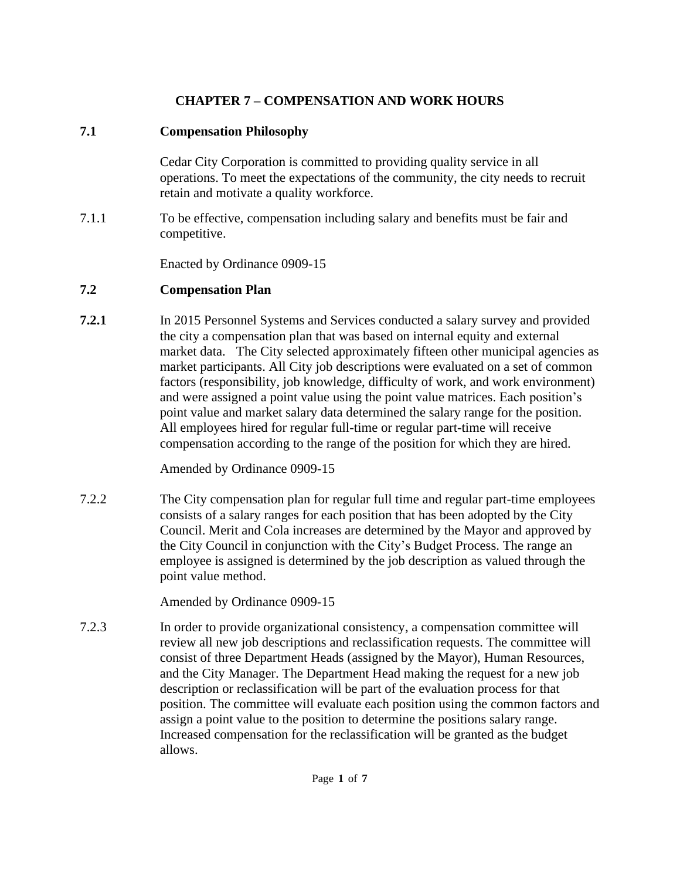## **CHAPTER 7 – COMPENSATION AND WORK HOURS**

## **7.1 Compensation Philosophy**

Cedar City Corporation is committed to providing quality service in all operations. To meet the expectations of the community, the city needs to recruit retain and motivate a quality workforce.

7.1.1 To be effective, compensation including salary and benefits must be fair and competitive.

Enacted by Ordinance 0909-15

## **7.2 Compensation Plan**

**7.2.1** In 2015 Personnel Systems and Services conducted a salary survey and provided the city a compensation plan that was based on internal equity and external market data. The City selected approximately fifteen other municipal agencies as market participants. All City job descriptions were evaluated on a set of common factors (responsibility, job knowledge, difficulty of work, and work environment) and were assigned a point value using the point value matrices. Each position's point value and market salary data determined the salary range for the position. All employees hired for regular full-time or regular part-time will receive compensation according to the range of the position for which they are hired.

Amended by Ordinance 0909-15

7.2.2 The City compensation plan for regular full time and regular part-time employees consists of a salary ranges for each position that has been adopted by the City Council. Merit and Cola increases are determined by the Mayor and approved by the City Council in conjunction with the City's Budget Process. The range an employee is assigned is determined by the job description as valued through the point value method.

Amended by Ordinance 0909-15

7.2.3 In order to provide organizational consistency, a compensation committee will review all new job descriptions and reclassification requests. The committee will consist of three Department Heads (assigned by the Mayor), Human Resources, and the City Manager. The Department Head making the request for a new job description or reclassification will be part of the evaluation process for that position. The committee will evaluate each position using the common factors and assign a point value to the position to determine the positions salary range. Increased compensation for the reclassification will be granted as the budget allows.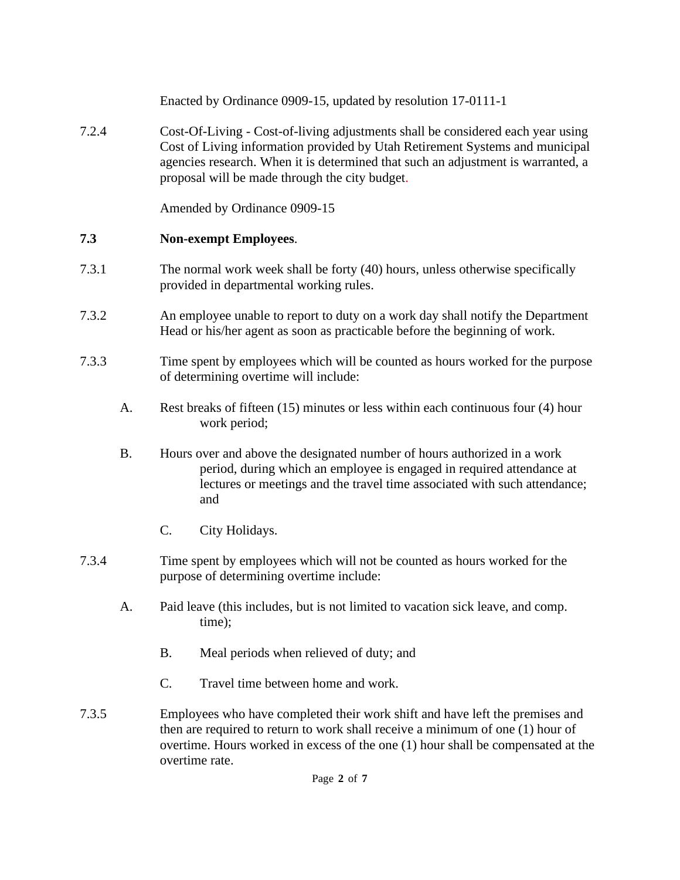Enacted by Ordinance 0909-15, updated by resolution 17-0111-1 7.2.4 Cost-Of-Living - Cost-of-living adjustments shall be considered each year using Cost of Living information provided by Utah Retirement Systems and municipal agencies research. When it is determined that such an adjustment is warranted, a proposal will be made through the city budget. Amended by Ordinance 0909-15

### **7.3 Non-exempt Employees**.

- 7.3.1 The normal work week shall be forty (40) hours, unless otherwise specifically provided in departmental working rules.
- 7.3.2 An employee unable to report to duty on a work day shall notify the Department Head or his/her agent as soon as practicable before the beginning of work.
- 7.3.3 Time spent by employees which will be counted as hours worked for the purpose of determining overtime will include:
	- A. Rest breaks of fifteen (15) minutes or less within each continuous four (4) hour work period;
	- B. Hours over and above the designated number of hours authorized in a work period, during which an employee is engaged in required attendance at lectures or meetings and the travel time associated with such attendance; and
		- C. City Holidays.
- 7.3.4 Time spent by employees which will not be counted as hours worked for the purpose of determining overtime include:
	- A. Paid leave (this includes, but is not limited to vacation sick leave, and comp. time);
		- B. Meal periods when relieved of duty; and
		- C. Travel time between home and work.
- 7.3.5 Employees who have completed their work shift and have left the premises and then are required to return to work shall receive a minimum of one (1) hour of overtime. Hours worked in excess of the one (1) hour shall be compensated at the overtime rate.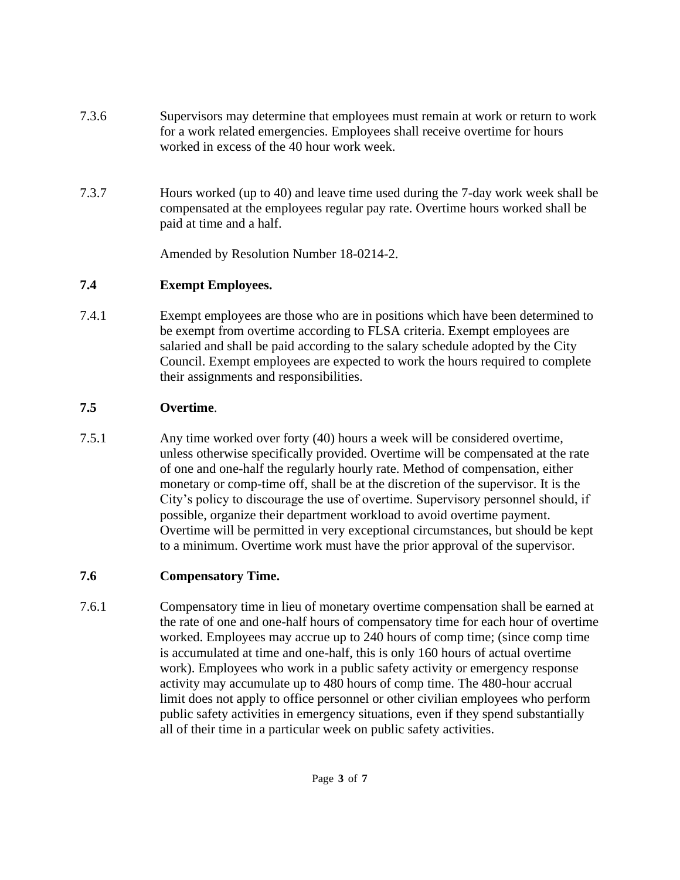- 7.3.6 Supervisors may determine that employees must remain at work or return to work for a work related emergencies. Employees shall receive overtime for hours worked in excess of the 40 hour work week.
- 7.3.7 Hours worked (up to 40) and leave time used during the 7-day work week shall be compensated at the employees regular pay rate. Overtime hours worked shall be paid at time and a half.

Amended by Resolution Number 18-0214-2.

# **7.4 Exempt Employees.**

7.4.1 Exempt employees are those who are in positions which have been determined to be exempt from overtime according to FLSA criteria. Exempt employees are salaried and shall be paid according to the salary schedule adopted by the City Council. Exempt employees are expected to work the hours required to complete their assignments and responsibilities.

# **7.5 Overtime**.

7.5.1 Any time worked over forty (40) hours a week will be considered overtime, unless otherwise specifically provided. Overtime will be compensated at the rate of one and one-half the regularly hourly rate. Method of compensation, either monetary or comp-time off, shall be at the discretion of the supervisor. It is the City's policy to discourage the use of overtime. Supervisory personnel should, if possible, organize their department workload to avoid overtime payment. Overtime will be permitted in very exceptional circumstances, but should be kept to a minimum. Overtime work must have the prior approval of the supervisor.

# **7.6 Compensatory Time.**

7.6.1 Compensatory time in lieu of monetary overtime compensation shall be earned at the rate of one and one-half hours of compensatory time for each hour of overtime worked. Employees may accrue up to 240 hours of comp time; (since comp time is accumulated at time and one-half, this is only 160 hours of actual overtime work). Employees who work in a public safety activity or emergency response activity may accumulate up to 480 hours of comp time. The 480-hour accrual limit does not apply to office personnel or other civilian employees who perform public safety activities in emergency situations, even if they spend substantially all of their time in a particular week on public safety activities.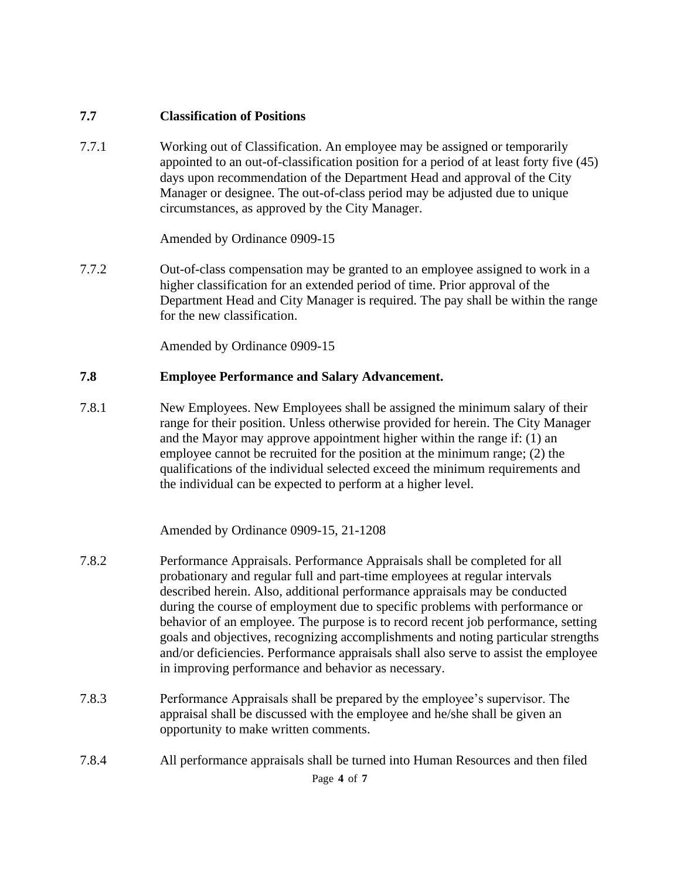#### **7.7 Classification of Positions**

7.7.1 Working out of Classification. An employee may be assigned or temporarily appointed to an out-of-classification position for a period of at least forty five (45) days upon recommendation of the Department Head and approval of the City Manager or designee. The out-of-class period may be adjusted due to unique circumstances, as approved by the City Manager.

Amended by Ordinance 0909-15

7.7.2 Out-of-class compensation may be granted to an employee assigned to work in a higher classification for an extended period of time. Prior approval of the Department Head and City Manager is required. The pay shall be within the range for the new classification.

Amended by Ordinance 0909-15

#### **7.8 Employee Performance and Salary Advancement.**

7.8.1 New Employees. New Employees shall be assigned the minimum salary of their range for their position. Unless otherwise provided for herein. The City Manager and the Mayor may approve appointment higher within the range if: (1) an employee cannot be recruited for the position at the minimum range; (2) the qualifications of the individual selected exceed the minimum requirements and the individual can be expected to perform at a higher level.

Amended by Ordinance 0909-15, 21-1208

- 7.8.2 Performance Appraisals. Performance Appraisals shall be completed for all probationary and regular full and part-time employees at regular intervals described herein. Also, additional performance appraisals may be conducted during the course of employment due to specific problems with performance or behavior of an employee. The purpose is to record recent job performance, setting goals and objectives, recognizing accomplishments and noting particular strengths and/or deficiencies. Performance appraisals shall also serve to assist the employee in improving performance and behavior as necessary.
- 7.8.3 Performance Appraisals shall be prepared by the employee's supervisor. The appraisal shall be discussed with the employee and he/she shall be given an opportunity to make written comments.
- 7.8.4 All performance appraisals shall be turned into Human Resources and then filed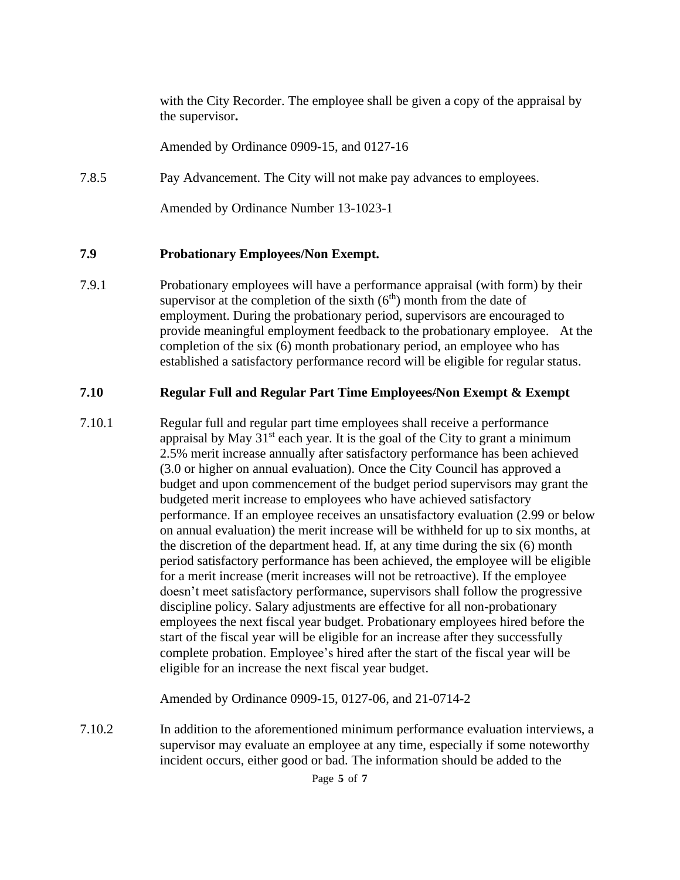with the City Recorder. The employee shall be given a copy of the appraisal by the supervisor**.**

Amended by Ordinance 0909-15, and 0127-16

7.8.5 Pay Advancement. The City will not make pay advances to employees.

Amended by Ordinance Number 13-1023-1

#### **7.9 Probationary Employees/Non Exempt.**

7.9.1 Probationary employees will have a performance appraisal (with form) by their supervisor at the completion of the sixth  $(6<sup>th</sup>)$  month from the date of employment. During the probationary period, supervisors are encouraged to provide meaningful employment feedback to the probationary employee. At the completion of the six (6) month probationary period, an employee who has established a satisfactory performance record will be eligible for regular status.

#### **7.10 Regular Full and Regular Part Time Employees/Non Exempt & Exempt**

7.10.1 Regular full and regular part time employees shall receive a performance appraisal by May  $31<sup>st</sup>$  each year. It is the goal of the City to grant a minimum 2.5% merit increase annually after satisfactory performance has been achieved (3.0 or higher on annual evaluation). Once the City Council has approved a budget and upon commencement of the budget period supervisors may grant the budgeted merit increase to employees who have achieved satisfactory performance. If an employee receives an unsatisfactory evaluation (2.99 or below on annual evaluation) the merit increase will be withheld for up to six months, at the discretion of the department head. If, at any time during the six (6) month period satisfactory performance has been achieved, the employee will be eligible for a merit increase (merit increases will not be retroactive). If the employee doesn't meet satisfactory performance, supervisors shall follow the progressive discipline policy. Salary adjustments are effective for all non-probationary employees the next fiscal year budget. Probationary employees hired before the start of the fiscal year will be eligible for an increase after they successfully complete probation. Employee's hired after the start of the fiscal year will be eligible for an increase the next fiscal year budget.

Amended by Ordinance 0909-15, 0127-06, and 21-0714-2

7.10.2 In addition to the aforementioned minimum performance evaluation interviews, a supervisor may evaluate an employee at any time, especially if some noteworthy incident occurs, either good or bad. The information should be added to the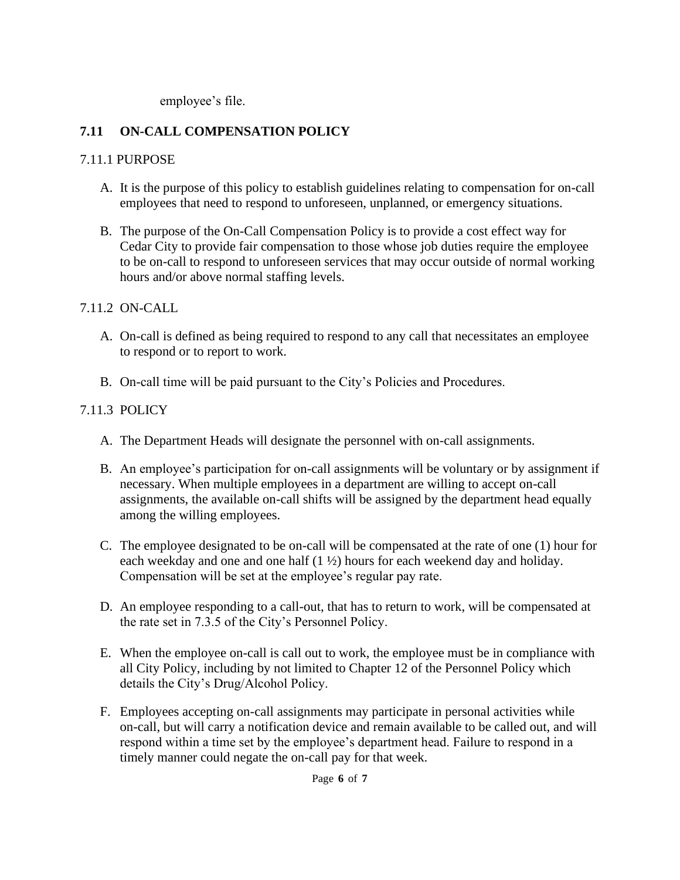employee's file.

# **7.11 ON-CALL COMPENSATION POLICY**

### 7.11.1 PURPOSE

- A. It is the purpose of this policy to establish guidelines relating to compensation for on-call employees that need to respond to unforeseen, unplanned, or emergency situations.
- B. The purpose of the On-Call Compensation Policy is to provide a cost effect way for Cedar City to provide fair compensation to those whose job duties require the employee to be on-call to respond to unforeseen services that may occur outside of normal working hours and/or above normal staffing levels.

### 7.11.2 ON-CALL

- A. On-call is defined as being required to respond to any call that necessitates an employee to respond or to report to work.
- B. On-call time will be paid pursuant to the City's Policies and Procedures.

## 7.11.3 POLICY

- A. The Department Heads will designate the personnel with on-call assignments.
- B. An employee's participation for on-call assignments will be voluntary or by assignment if necessary. When multiple employees in a department are willing to accept on-call assignments, the available on-call shifts will be assigned by the department head equally among the willing employees.
- C. The employee designated to be on-call will be compensated at the rate of one (1) hour for each weekday and one and one half (1 ½) hours for each weekend day and holiday. Compensation will be set at the employee's regular pay rate.
- D. An employee responding to a call-out, that has to return to work, will be compensated at the rate set in 7.3.5 of the City's Personnel Policy.
- E. When the employee on-call is call out to work, the employee must be in compliance with all City Policy, including by not limited to Chapter 12 of the Personnel Policy which details the City's Drug/Alcohol Policy.
- F. Employees accepting on-call assignments may participate in personal activities while on-call, but will carry a notification device and remain available to be called out, and will respond within a time set by the employee's department head. Failure to respond in a timely manner could negate the on-call pay for that week.